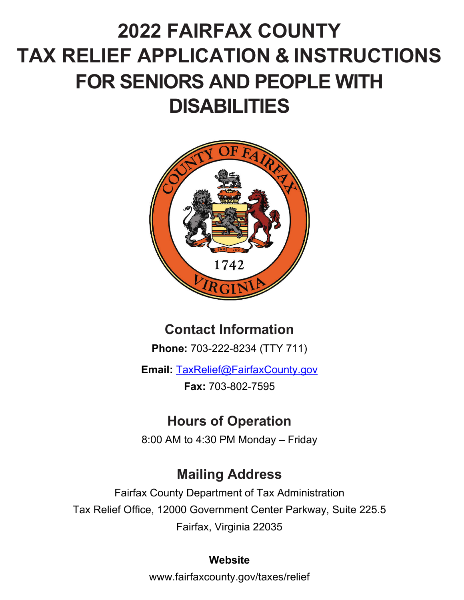# **2022 FAIRFAX COUNTY TAX RELIEF APPLICATION & INSTRUCTIONS FOR SENIORS AND PEOPLE WITH DISABILITIES**



# **Contact Information**

**Phone:** 703-222-8234 (TTY 711)

**Email:** TaxRelief@FairfaxCounty.gov **Fax:** 703-802-7595

# **Hours of Operation**

8:00 AM to 4:30 PM Monday – Friday

## **Mailing Address**

Fairfax County Department of Tax Administration Tax Relief Office, 12000 Government Center Parkway, Suite 225.5 Fairfax, Virginia 22035

### **Website**

www.fairfaxcounty.gov/taxes/relief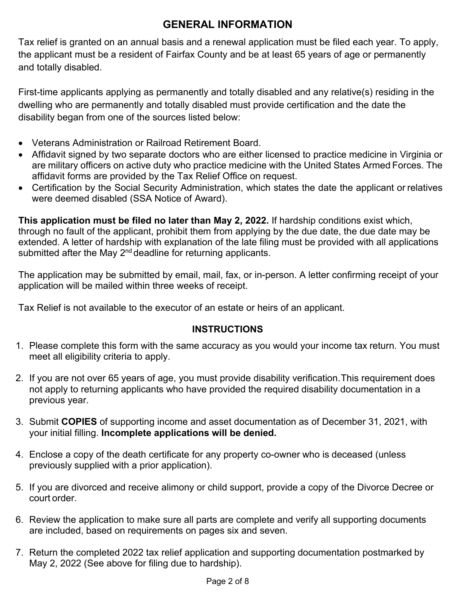### **GENERAL INFORMATION**

Tax relief is granted on an annual basis and a renewal application must be filed each year. To apply, the applicant must be a resident of Fairfax County and be at least 65 years of age or permanently and totally disabled.

First-time applicants applying as permanently and totally disabled and any relative(s) residing in the dwelling who are permanently and totally disabled must provide certification and the date the disability began from one of the sources listed below:

- Veterans Administration or Railroad Retirement Board.
- Affidavit signed by two separate doctors who are either licensed to practice medicine in Virginia or are military officers on active duty who practice medicine with the United States Armed Forces. The affidavit forms are provided by the Tax Relief Office on request.
- Certification by the Social Security Administration, which states the date the applicant or relatives were deemed disabled (SSA Notice of Award).

**This application must be filed no later than May 2, 2022.** If hardship conditions exist which, through no fault of the applicant, prohibit them from applying by the due date, the due date may be extended. A letter of hardship with explanation of the late filing must be provided with all applications submitted after the May 2<sup>nd</sup> deadline for returning applicants.

The application may be submitted by email, mail, fax, or in-person. A letter confirming receipt of your application will be mailed within three weeks of receipt.

Tax Relief is not available to the executor of an estate or heirs of an applicant.

#### **INSTRUCTIONS**

- 1. Please complete this form with the same accuracy as you would your income tax return. You must meet all eligibility criteria to apply.
- 2. If you are not over 65 years of age, you must provide disability verification. This requirement does not apply to returning applicants who have provided the required disability documentation in a previous year.
- 3. Submit **COPIES** of supporting income and asset documentation as of December 31, 2021, with your initial filling. **Incomplete applications will be denied.**
- 4. Enclose a copy of the death certificate for any property co-owner who is deceased (unless previously supplied with a prior application).
- 5. If you are divorced and receive alimony or child support, provide a copy of the Divorce Decree or court order.
- 6. Review the application to make sure all parts are complete and verify all supporting documents are included, based on requirements on pages six and seven.
- 7. Return the completed 2022 tax relief application and supporting documentation postmarked by May 2, 2022 (See above for filing due to hardship).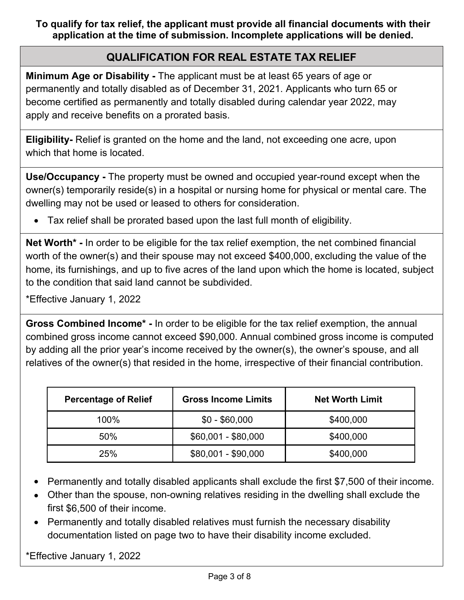**To qualify for tax relief, the applicant must provide all financial documents with their application at the time of submission. Incomplete applications will be denied.** 

#### **QUALIFICATION FOR REAL ESTATE TAX RELIEF**

**Minimum Age or Disability -** The applicant must be at least 65 years of age or permanently and totally disabled as of December 31, 2021. Applicants who turn 65 or become certified as permanently and totally disabled during calendar year 2022, may apply and receive benefits on a prorated basis.

**Eligibility-** Relief is granted on the home and the land, not exceeding one acre, upon which that home is located.

**Use/Occupancy -** The property must be owned and occupied year-round except when the owner(s) temporarily reside(s) in a hospital or nursing home for physical or mental care. The dwelling may not be used or leased to others for consideration.

Tax relief shall be prorated based upon the last full month of eligibility.

**Net Worth\* -** In order to be eligible for the tax relief exemption, the net combined financial worth of the owner(s) and their spouse may not exceed \$400,000, excluding the value of the home, its furnishings, and up to five acres of the land upon which the home is located, subject to the condition that said land cannot be subdivided.

\*Effective January 1, 2022

**Gross Combined Income\* -** In order to be eligible for the tax relief exemption, the annual combined gross income cannot exceed \$90,000. Annual combined gross income is computed by adding all the prior year's income received by the owner(s), the owner's spouse, and all relatives of the owner(s) that resided in the home, irrespective of their financial contribution.

| <b>Percentage of Relief</b> | <b>Gross Income Limits</b> | <b>Net Worth Limit</b> |  |
|-----------------------------|----------------------------|------------------------|--|
| 100%                        | $$0 - $60,000$             | \$400,000              |  |
| 50%                         | $$60,001 - $80,000$        | \$400,000              |  |
| 25%                         | $$80,001 - $90,000$        | \$400,000              |  |

- Permanently and totally disabled applicants shall exclude the first \$7,500 of their income.  $\bullet$
- Other than the spouse, non-owning relatives residing in the dwelling shall exclude the first \$6,500 of their income.
- Permanently and totally disabled relatives must furnish the necessary disability documentation listed on page two to have their disability income excluded.

\*Effective January 1, 2022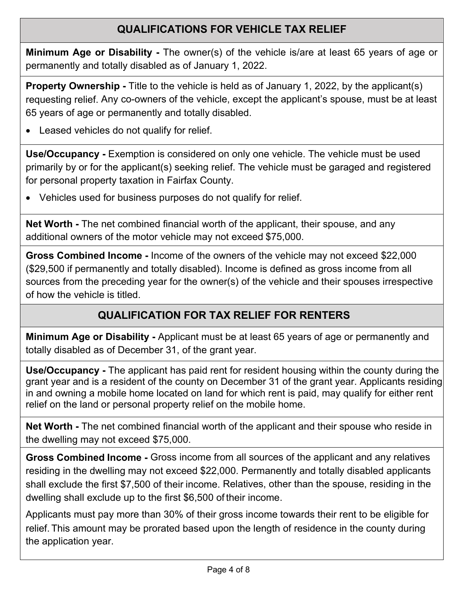### **QUALIFICATIONS FOR VEHICLE TAX RELIEF**

**Minimum Age or Disability -** The owner(s) of the vehicle is/are at least 65 years of age or permanently and totally disabled as of January 1, 2022.

**Property Ownership -** Title to the vehicle is held as of January 1, 2022, by the applicant(s) requesting relief. Any co-owners of the vehicle, except the applicant's spouse, must be at least 65 years of age or permanently and totally disabled.

Leased vehicles do not qualify for relief.

**Use/Occupancy -** Exemption is considered on only one vehicle. The vehicle must be used primarily by or for the applicant(s) seeking relief. The vehicle must be garaged and registered for personal property taxation in Fairfax County.

Vehicles used for business purposes do not qualify for relief.

**Net Worth -** The net combined financial worth of the applicant, their spouse, and any additional owners of the motor vehicle may not exceed \$75,000.

**Gross Combined Income -** Income of the owners of the vehicle may not exceed \$22,000 (\$29,500 if permanently and totally disabled). Income is defined as gross income from all sources from the preceding year for the owner(s) of the vehicle and their spouses irrespective of how the vehicle is titled.

### **QUALIFICATION FOR TAX RELIEF FOR RENTERS**

**Minimum Age or Disability -** Applicant must be at least 65 years of age or permanently and totally disabled as of December 31, of the grant year.

**Use/Occupancy -** The applicant has paid rent for resident housing within the county during the grant year and is a resident of the county on December 31 of the grant year. Applicants residing in and owning a mobile home located on land for which rent is paid, may qualify for either rent relief on the land or personal property relief on the mobile home.

**Net Worth -** The net combined financial worth of the applicant and their spouse who reside in the dwelling may not exceed \$75,000.

**Gross Combined Income -** Gross income from all sources of the applicant and any relatives residing in the dwelling may not exceed \$22,000. Permanently and totally disabled applicants shall exclude the first \$7,500 of their income. Relatives, other than the spouse, residing in the dwelling shall exclude up to the first \$6,500 of their income.

Applicants must pay more than 30% of their gross income towards their rent to be eligible for relief. This amount may be prorated based upon the length of residence in the county during the application year.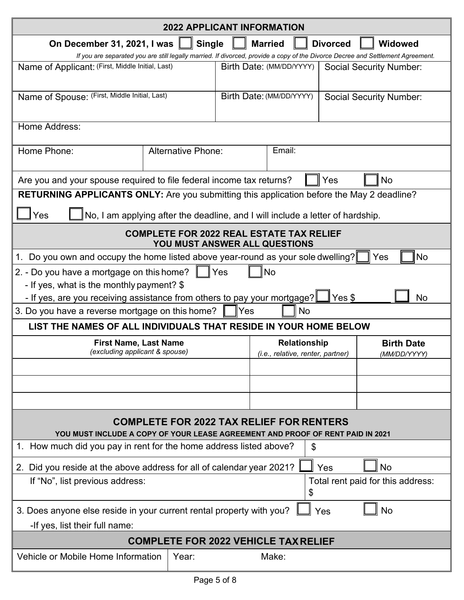| <b>2022 APPLICANT INFORMATION</b>                                                                                                                                |                           |                                                                                  |     |                                |  |
|------------------------------------------------------------------------------------------------------------------------------------------------------------------|---------------------------|----------------------------------------------------------------------------------|-----|--------------------------------|--|
| <b>Single</b><br><b>Married</b><br><b>Widowed</b><br>On December 31, 2021, I was<br><b>Divorced</b>                                                              |                           |                                                                                  |     |                                |  |
| If you are separated you are still legally married. If divorced, provide a copy of the Divorce Decree and Settlement Agreement.                                  |                           |                                                                                  |     |                                |  |
| Name of Applicant: (First, Middle Initial, Last)                                                                                                                 |                           | Birth Date: (MM/DD/YYYY)                                                         |     | <b>Social Security Number:</b> |  |
| Name of Spouse: (First, Middle Initial, Last)                                                                                                                    |                           | Birth Date: (MM/DD/YYYY)                                                         |     | <b>Social Security Number:</b> |  |
| Home Address:                                                                                                                                                    |                           |                                                                                  |     |                                |  |
| Home Phone:                                                                                                                                                      | <b>Alternative Phone:</b> | Email:                                                                           |     |                                |  |
| Are you and your spouse required to file federal income tax returns?                                                                                             |                           |                                                                                  | Yes | No                             |  |
| RETURNING APPLICANTS ONLY: Are you submitting this application before the May 2 deadline?                                                                        |                           |                                                                                  |     |                                |  |
| Yes                                                                                                                                                              |                           | No, I am applying after the deadline, and I will include a letter of hardship.   |     |                                |  |
|                                                                                                                                                                  |                           | <b>COMPLETE FOR 2022 REAL ESTATE TAX RELIEF</b><br>YOU MUST ANSWER ALL QUESTIONS |     |                                |  |
| Do you own and occupy the home listed above year-round as your sole dwelling?<br>1.                                                                              |                           |                                                                                  |     | <b>No</b><br>Yes               |  |
| 2. - Do you have a mortgage on this home?                                                                                                                        |                           | No<br>Yes                                                                        |     |                                |  |
| - If yes, what is the monthly payment? \$                                                                                                                        |                           |                                                                                  |     |                                |  |
| - If yes, are you receiving assistance from others to pay your mortgage?<br>Yes \$<br><b>No</b><br>3. Do you have a reverse mortgage on this home?<br>No<br>lYes |                           |                                                                                  |     |                                |  |
| LIST THE NAMES OF ALL INDIVIDUALS THAT RESIDE IN YOUR HOME BELOW                                                                                                 |                           |                                                                                  |     |                                |  |
| <b>First Name, Last Name</b>                                                                                                                                     |                           | <b>Relationship</b>                                                              |     | <b>Birth Date</b>              |  |
| (excluding applicant & spouse)                                                                                                                                   |                           | (i.e., relative, renter, partner)                                                |     | (MM/DD/YYYY)                   |  |
|                                                                                                                                                                  |                           |                                                                                  |     |                                |  |
|                                                                                                                                                                  |                           |                                                                                  |     |                                |  |
|                                                                                                                                                                  |                           |                                                                                  |     |                                |  |
| <b>COMPLETE FOR 2022 TAX RELIEF FOR RENTERS</b><br>YOU MUST INCLUDE A COPY OF YOUR LEASE AGREEMENT AND PROOF OF RENT PAID IN 2021                                |                           |                                                                                  |     |                                |  |
| 1. How much did you pay in rent for the home address listed above?<br>\$                                                                                         |                           |                                                                                  |     |                                |  |
| No<br>2. Did you reside at the above address for all of calendar year 2021?<br>Yes                                                                               |                           |                                                                                  |     |                                |  |
| Total rent paid for this address:<br>If "No", list previous address:<br>\$                                                                                       |                           |                                                                                  |     |                                |  |
| 3. Does anyone else reside in your current rental property with you?<br>No<br>Yes                                                                                |                           |                                                                                  |     |                                |  |
| -If yes, list their full name:                                                                                                                                   |                           |                                                                                  |     |                                |  |
| <b>COMPLETE FOR 2022 VEHICLE TAX RELIEF</b>                                                                                                                      |                           |                                                                                  |     |                                |  |
| Vehicle or Mobile Home Information                                                                                                                               | Year:                     | Make:                                                                            |     |                                |  |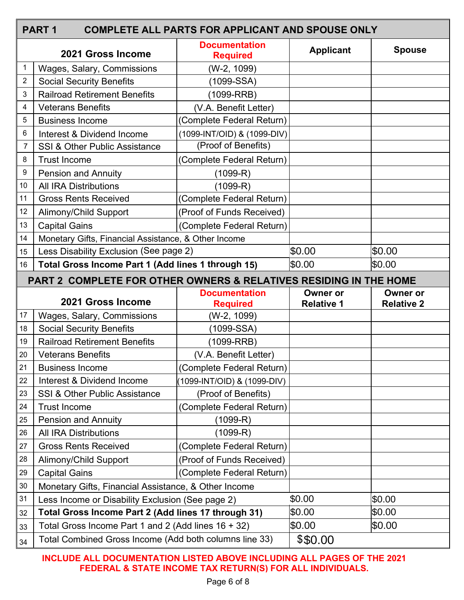|                | <b>PART1</b><br><b>COMPLETE ALL PARTS FOR APPLICANT AND SPOUSE ONLY</b> |                                         |                                      |                                      |  |
|----------------|-------------------------------------------------------------------------|-----------------------------------------|--------------------------------------|--------------------------------------|--|
|                | 2021 Gross Income                                                       | <b>Documentation</b><br><b>Required</b> | <b>Applicant</b>                     | <b>Spouse</b>                        |  |
| 1              | Wages, Salary, Commissions                                              | (W-2, 1099)                             |                                      |                                      |  |
| $\overline{2}$ | <b>Social Security Benefits</b>                                         | (1099-SSA)                              |                                      |                                      |  |
| 3              | <b>Railroad Retirement Benefits</b>                                     | $(1099-RRB)$                            |                                      |                                      |  |
| 4              | <b>Veterans Benefits</b>                                                | (V.A. Benefit Letter)                   |                                      |                                      |  |
| 5              | <b>Business Income</b>                                                  | (Complete Federal Return)               |                                      |                                      |  |
| 6              | Interest & Dividend Income                                              | (1099-INT/OID) & (1099-DIV)             |                                      |                                      |  |
| $\overline{7}$ | <b>SSI &amp; Other Public Assistance</b>                                | (Proof of Benefits)                     |                                      |                                      |  |
| 8              | <b>Trust Income</b>                                                     | (Complete Federal Return)               |                                      |                                      |  |
| 9              | <b>Pension and Annuity</b>                                              | $(1099 - R)$                            |                                      |                                      |  |
| 10             | <b>All IRA Distributions</b>                                            | (1099-R)                                |                                      |                                      |  |
| 11             | <b>Gross Rents Received</b>                                             | (Complete Federal Return)               |                                      |                                      |  |
| 12             | <b>Alimony/Child Support</b>                                            | (Proof of Funds Received)               |                                      |                                      |  |
| 13             | <b>Capital Gains</b>                                                    | (Complete Federal Return)               |                                      |                                      |  |
| 14             | Monetary Gifts, Financial Assistance, & Other Income                    |                                         |                                      |                                      |  |
| 15             | Less Disability Exclusion (See page 2)                                  |                                         | \$0.00                               | \$0.00                               |  |
| 16             | Total Gross Income Part 1 (Add lines 1 through 15)                      |                                         | \$0.00                               | \$0.00                               |  |
|                | PART 2 COMPLETE FOR OTHER OWNERS & RELATIVES RESIDING IN THE HOME       |                                         |                                      |                                      |  |
|                | 2021 Gross Income                                                       | <b>Documentation</b><br><b>Required</b> | <b>Owner or</b><br><b>Relative 1</b> | <b>Owner or</b><br><b>Relative 2</b> |  |
| 17             | Wages, Salary, Commissions                                              | (W-2, 1099)                             |                                      |                                      |  |
| 18             | <b>Social Security Benefits</b>                                         | (1099-SSA)                              |                                      |                                      |  |
| 19             | <b>Railroad Retirement Benefits</b>                                     | $(1099-RRB)$                            |                                      |                                      |  |
| 20             | <b>Veterans Benefits</b>                                                | (V.A. Benefit Letter)                   |                                      |                                      |  |
| 21             | <b>Business Income</b>                                                  | (Complete Federal Return)               |                                      |                                      |  |
| 22             | Interest & Dividend Income                                              | (1099-INT/OID) & (1099-DIV)             |                                      |                                      |  |
| 23             | <b>SSI &amp; Other Public Assistance</b>                                | (Proof of Benefits)                     |                                      |                                      |  |
| 24             | <b>Trust Income</b>                                                     | (Complete Federal Return)               |                                      |                                      |  |
| 25             | <b>Pension and Annuity</b>                                              | (1099-R)                                |                                      |                                      |  |
| 26             | <b>All IRA Distributions</b>                                            | (1099-R)                                |                                      |                                      |  |
| 27             | <b>Gross Rents Received</b>                                             | (Complete Federal Return)               |                                      |                                      |  |
| 28             | <b>Alimony/Child Support</b>                                            | (Proof of Funds Received)               |                                      |                                      |  |
| 29             | <b>Capital Gains</b>                                                    | (Complete Federal Return)               |                                      |                                      |  |
| $30\,$         | Monetary Gifts, Financial Assistance, & Other Income                    |                                         |                                      |                                      |  |
| 31             | Less Income or Disability Exclusion (See page 2)                        |                                         | \$0.00                               | \$0.00                               |  |
| 32             | Total Gross Income Part 2 (Add lines 17 through 31)                     |                                         | \$0.00                               | \$0.00                               |  |
| 33             | Total Gross Income Part 1 and 2 (Add lines 16 + 32)                     |                                         | \$0.00                               | \$0.00                               |  |
| 34             | Total Combined Gross Income (Add both columns line 33)                  | \$\$0.00                                |                                      |                                      |  |

**INCLUDE ALL DOCUMENTATION LISTED ABOVE INCLUDING ALL PAGES OF THE 2021 FEDERAL & STATE INCOME TAX RETURN(S) FOR ALL INDIVIDUALS.**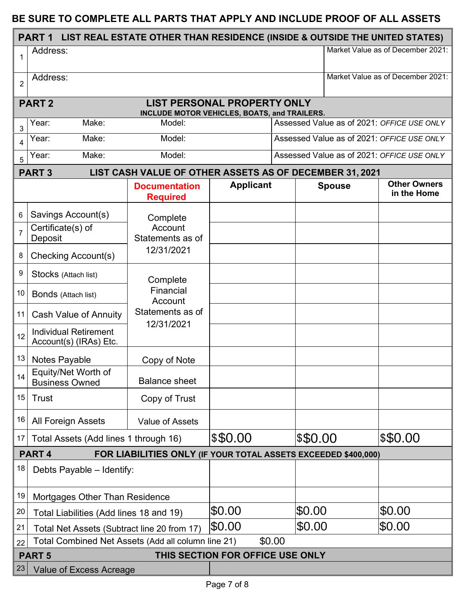#### **BE SURE TO COMPLETE ALL PARTS THAT APPLY AND INCLUDE PROOF OF ALL ASSETS**

|                | <b>PART 1</b>                                                                       | LIST REAL ESTATE OTHER THAN RESIDENCE (INSIDE & OUTSIDE THE UNITED STATES) |                                    |                                            |               |                                            |
|----------------|-------------------------------------------------------------------------------------|----------------------------------------------------------------------------|------------------------------------|--------------------------------------------|---------------|--------------------------------------------|
| $\mathbf{1}$   | Address:                                                                            |                                                                            |                                    |                                            |               | Market Value as of December 2021:          |
| $\overline{2}$ | Address:                                                                            |                                                                            |                                    | Market Value as of December 2021:          |               |                                            |
|                | <b>PART2</b>                                                                        |                                                                            | <b>LIST PERSONAL PROPERTY ONLY</b> |                                            |               |                                            |
|                | Make:<br>Year:                                                                      | INCLUDE MOTOR VEHICLES, BOATS, and TRAILERS.<br>Model:                     |                                    |                                            |               | Assessed Value as of 2021: OFFICE USE ONLY |
| 3<br>4         | Year:<br>Make:<br>Model:                                                            |                                                                            |                                    | Assessed Value as of 2021: OFFICE USE ONLY |               |                                            |
| 5              | Make:<br>Year:                                                                      | Model:                                                                     |                                    | Assessed Value as of 2021: OFFICE USE ONLY |               |                                            |
|                | <b>PART 3</b>                                                                       | LIST CASH VALUE OF OTHER ASSETS AS OF DECEMBER 31, 2021                    |                                    |                                            |               |                                            |
|                |                                                                                     | <b>Documentation</b><br><b>Required</b>                                    | <b>Applicant</b>                   |                                            | <b>Spouse</b> | <b>Other Owners</b><br>in the Home         |
| 6              | Savings Account(s)                                                                  | Complete                                                                   |                                    |                                            |               |                                            |
| $\overline{7}$ | Certificate(s) of<br>Deposit                                                        | Account<br>Statements as of                                                |                                    |                                            |               |                                            |
| 8              | Checking Account(s)                                                                 | 12/31/2021                                                                 |                                    |                                            |               |                                            |
| 9              | Stocks (Attach list)                                                                | Complete                                                                   |                                    |                                            |               |                                            |
| 10             | <b>Bonds</b> (Attach list)                                                          | Financial<br>Account                                                       |                                    |                                            |               |                                            |
| 11             | <b>Cash Value of Annuity</b>                                                        | Statements as of<br>12/31/2021                                             |                                    |                                            |               |                                            |
| 12             | <b>Individual Retirement</b><br>Account(s) (IRAs) Etc.                              |                                                                            |                                    |                                            |               |                                            |
| 13             | Notes Payable                                                                       | Copy of Note                                                               |                                    |                                            |               |                                            |
| 14             | Equity/Net Worth of<br><b>Business Owned</b>                                        | <b>Balance sheet</b>                                                       |                                    |                                            |               |                                            |
| 15             | Trust                                                                               | Copy of Trust                                                              |                                    |                                            |               |                                            |
| 16             | <b>All Foreign Assets</b>                                                           | <b>Value of Assets</b>                                                     |                                    |                                            |               |                                            |
| 17             | Total Assets (Add lines 1 through 16)                                               |                                                                            | \$\$0.00                           |                                            | \$\$0.00      | \$\$0.00                                   |
|                | PART <sub>4</sub><br>FOR LIABILITIES ONLY (IF YOUR TOTAL ASSETS EXCEEDED \$400,000) |                                                                            |                                    |                                            |               |                                            |
| 18             | Debts Payable - Identify:                                                           |                                                                            |                                    |                                            |               |                                            |
| 19             | Mortgages Other Than Residence                                                      |                                                                            |                                    |                                            |               |                                            |
| 20             | Total Liabilities (Add lines 18 and 19)                                             |                                                                            | \$0.00                             | \$0.00                                     |               | \$0.00                                     |
| 21             | Total Net Assets (Subtract line 20 from 17)                                         |                                                                            | \$0.00                             | \$0.00                                     |               | SO.OO                                      |
| 22             | Total Combined Net Assets (Add all column line 21)<br>\$0.00                        |                                                                            |                                    |                                            |               |                                            |
|                | <b>PART 5</b>                                                                       |                                                                            | THIS SECTION FOR OFFICE USE ONLY   |                                            |               |                                            |
| 23             | Value of Excess Acreage                                                             |                                                                            |                                    |                                            |               |                                            |
|                |                                                                                     |                                                                            | Page 7 of 8                        |                                            |               |                                            |